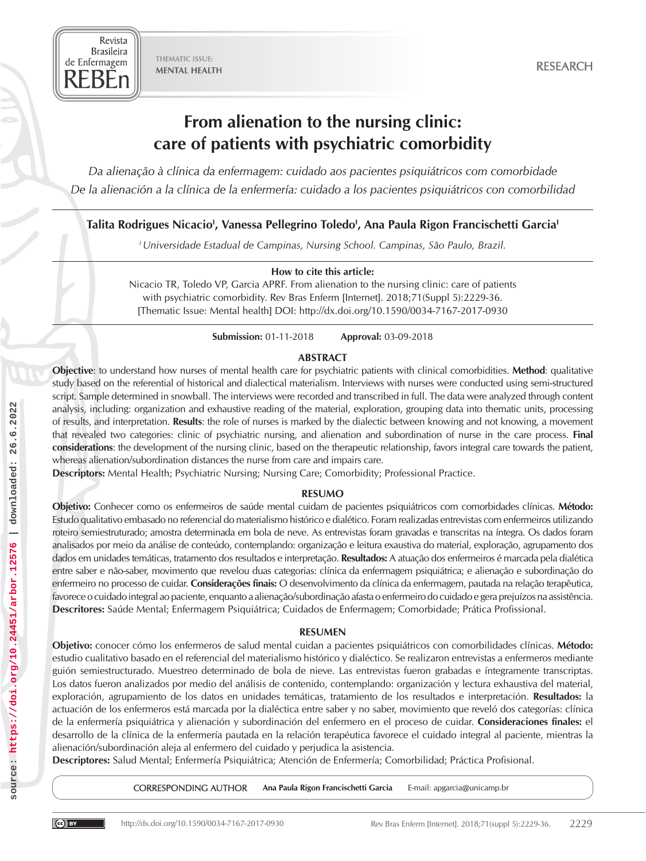THEMATIC ISSUE: MENTAL HEALTH

Revista **Brasileira** de Enfermagem REBEn

# From alienation to the nursing clinic: care of patients with psychiatric comorbidity

*Da alienação à clínica da enfermagem: cuidado aos pacientes psiquiátricos com comorbidade De la alienación a la clínica de la enfermería: cuidado a los pacientes psiquiátricos con comorbilidad*

# Talita Rodrigues Nicacio<sup>i</sup>, Vanessa Pellegrino Toledo<sup>i</sup>, Ana Paula Rigon Francischetti Garcia<sup>i</sup>

*I Universidade Estadual de Campinas, Nursing School. Campinas, São Paulo, Brazil.*

#### How to cite this article:

Nicacio TR, Toledo VP, Garcia APRF. From alienation to the nursing clinic: care of patients with psychiatric comorbidity. Rev Bras Enferm [Internet]. 2018;71(Suppl 5):2229-36. [Thematic Issue: Mental health] DOI: http://dx.doi.org/10.1590/0034-7167-2017-0930

Submission: 01-11-2018 Approval: 03-09-2018

#### ABSTRACT

Objective: to understand how nurses of mental health care for psychiatric patients with clinical comorbidities. Method: qualitative study based on the referential of historical and dialectical materialism. Interviews with nurses were conducted using semi-structured script. Sample determined in snowball. The interviews were recorded and transcribed in full. The data were analyzed through content analysis, including: organization and exhaustive reading of the material, exploration, grouping data into thematic units, processing of results, and interpretation. Results: the role of nurses is marked by the dialectic between knowing and not knowing, a movement that revealed two categories: clinic of psychiatric nursing, and alienation and subordination of nurse in the care process. Final considerations: the development of the nursing clinic, based on the therapeutic relationship, favors integral care towards the patient, whereas alienation/subordination distances the nurse from care and impairs care.

Descriptors: Mental Health; Psychiatric Nursing; Nursing Care; Comorbidity; Professional Practice.

# RESUMO

Objetivo: Conhecer como os enfermeiros de saúde mental cuidam de pacientes psiquiátricos com comorbidades clínicas. Método: Estudo qualitativo embasado no referencial do materialismo histórico e dialético. Foram realizadas entrevistas com enfermeiros utilizando roteiro semiestruturado; amostra determinada em bola de neve. As entrevistas foram gravadas e transcritas na íntegra. Os dados foram analisados por meio da análise de conteúdo, contemplando: organização e leitura exaustiva do material, exploração, agrupamento dos dados em unidades temáticas, tratamento dos resultados e interpretação. Resultados: A atuação dos enfermeiros é marcada pela dialética entre saber e não-saber, movimento que revelou duas categorias: clínica da enfermagem psiquiátrica; e alienação e subordinação do enfermeiro no processo de cuidar. Considerações finais: O desenvolvimento da clínica da enfermagem, pautada na relação terapêutica, favorece o cuidado integral ao paciente, enquanto a alienação/subordinação afasta o enfermeiro do cuidado e gera prejuízos na assistência. Descritores: Saúde Mental; Enfermagem Psiquiátrica; Cuidados de Enfermagem; Comorbidade; Prática Profissional.

# RESUMEN

Objetivo: conocer cómo los enfermeros de salud mental cuidan a pacientes psiquiátricos con comorbilidades clínicas. Método: estudio cualitativo basado en el referencial del materialismo histórico y dialéctico. Se realizaron entrevistas a enfermeros mediante guión semiestructurado. Muestreo determinado de bola de nieve. Las entrevistas fueron grabadas e íntegramente transcriptas. Los datos fueron analizados por medio del análisis de contenido, contemplando: organización y lectura exhaustiva del material, exploración, agrupamiento de los datos en unidades temáticas, tratamiento de los resultados e interpretación. Resultados: la actuación de los enfermeros está marcada por la dialéctica entre saber y no saber, movimiento que reveló dos categorías: clínica de la enfermería psiquiátrica y alienación y subordinación del enfermero en el proceso de cuidar. Consideraciones finales: el desarrollo de la clínica de la enfermería pautada en la relación terapéutica favorece el cuidado integral al paciente, mientras la alienación/subordinación aleja al enfermero del cuidado y perjudica la asistencia.

Descriptores: Salud Mental; Enfermería Psiquiátrica; Atención de Enfermería; Comorbilidad; Práctica Profisional.

CORRESPONDING AUTHOR Ana Paula Rigon Francischetti Garcia E-mail: apgarcia@unicamp.br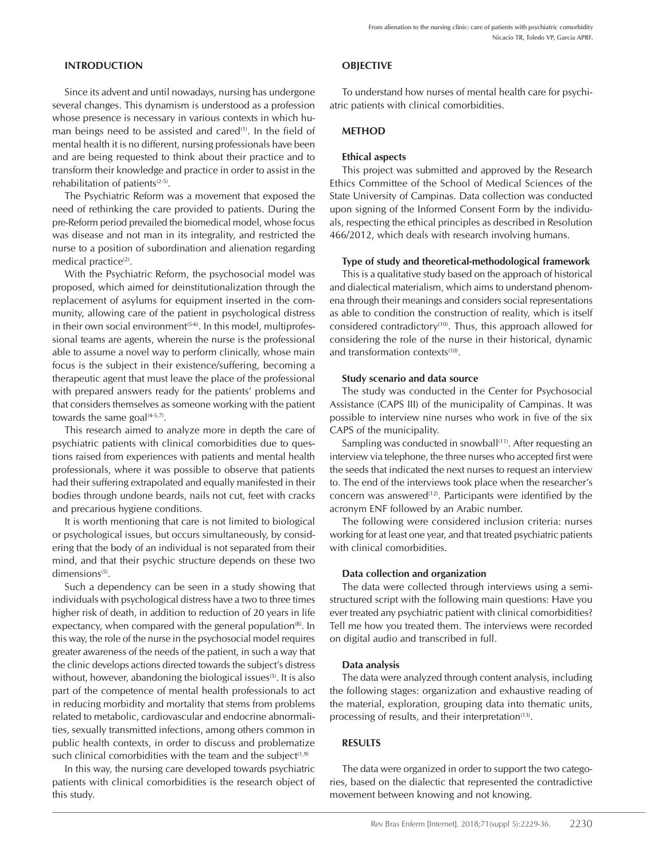# INTRODUCTION

Since its advent and until nowadays, nursing has undergone several changes. This dynamism is understood as a profession whose presence is necessary in various contexts in which human beings need to be assisted and cared $(1)$ . In the field of mental health it is no different, nursing professionals have been and are being requested to think about their practice and to transform their knowledge and practice in order to assist in the rehabilitation of patients $(2-5)$ .

The Psychiatric Reform was a movement that exposed the need of rethinking the care provided to patients. During the pre-Reform period prevailed the biomedical model, whose focus was disease and not man in its integrality, and restricted the nurse to a position of subordination and alienation regarding medical practice<sup>(2)</sup>.

With the Psychiatric Reform, the psychosocial model was proposed, which aimed for deinstitutionalization through the replacement of asylums for equipment inserted in the community, allowing care of the patient in psychological distress in their own social environment $(5-6)$ . In this model, multiprofessional teams are agents, wherein the nurse is the professional able to assume a novel way to perform clinically, whose main focus is the subject in their existence/suffering, becoming a therapeutic agent that must leave the place of the professional with prepared answers ready for the patients' problems and that considers themselves as someone working with the patient towards the same goal $(4-5,7)$ .

This research aimed to analyze more in depth the care of psychiatric patients with clinical comorbidities due to questions raised from experiences with patients and mental health professionals, where it was possible to observe that patients had their suffering extrapolated and equally manifested in their bodies through undone beards, nails not cut, feet with cracks and precarious hygiene conditions.

It is worth mentioning that care is not limited to biological or psychological issues, but occurs simultaneously, by considering that the body of an individual is not separated from their mind, and that their psychic structure depends on these two dimensions<sup>(5)</sup>.

Such a dependency can be seen in a study showing that individuals with psychological distress have a two to three times higher risk of death, in addition to reduction of 20 years in life expectancy, when compared with the general population<sup>(8)</sup>. In this way, the role of the nurse in the psychosocial model requires greater awareness of the needs of the patient, in such a way that the clinic develops actions directed towards the subject's distress without, however, abandoning the biological issues<sup>(5)</sup>. It is also part of the competence of mental health professionals to act in reducing morbidity and mortality that stems from problems related to metabolic, cardiovascular and endocrine abnormalities, sexually transmitted infections, among others common in public health contexts, in order to discuss and problematize such clinical comorbidities with the team and the subject $(1,9)$ 

In this way, the nursing care developed towards psychiatric patients with clinical comorbidities is the research object of this study.

# **OBIECTIVE**

To understand how nurses of mental health care for psychiatric patients with clinical comorbidities.

# **METHOD**

# Ethical aspects

This project was submitted and approved by the Research Ethics Committee of the School of Medical Sciences of the State University of Campinas. Data collection was conducted upon signing of the Informed Consent Form by the individuals, respecting the ethical principles as described in Resolution 466/2012, which deals with research involving humans.

#### Type of study and theoretical-methodological framework

This is a qualitative study based on the approach of historical and dialectical materialism, which aims to understand phenomena through their meanings and considers social representations as able to condition the construction of reality, which is itself considered contradictory<sup>(10)</sup>. Thus, this approach allowed for considering the role of the nurse in their historical, dynamic and transformation contexts<sup>(10)</sup>.

#### Study scenario and data source

The study was conducted in the Center for Psychosocial Assistance (CAPS III) of the municipality of Campinas. It was possible to interview nine nurses who work in five of the six CAPS of the municipality.

Sampling was conducted in snowball<sup>(11)</sup>. After requesting an interview via telephone, the three nurses who accepted first were the seeds that indicated the next nurses to request an interview to. The end of the interviews took place when the researcher's concern was answered $(12)$ . Participants were identified by the acronym ENF followed by an Arabic number.

The following were considered inclusion criteria: nurses working for at least one year, and that treated psychiatric patients with clinical comorbidities.

# Data collection and organization

The data were collected through interviews using a semistructured script with the following main questions: Have you ever treated any psychiatric patient with clinical comorbidities? Tell me how you treated them. The interviews were recorded on digital audio and transcribed in full.

# Data analysis

The data were analyzed through content analysis, including the following stages: organization and exhaustive reading of the material, exploration, grouping data into thematic units, processing of results, and their interpretation $(13)$ .

# RESULTS

The data were organized in order to support the two categories, based on the dialectic that represented the contradictive movement between knowing and not knowing.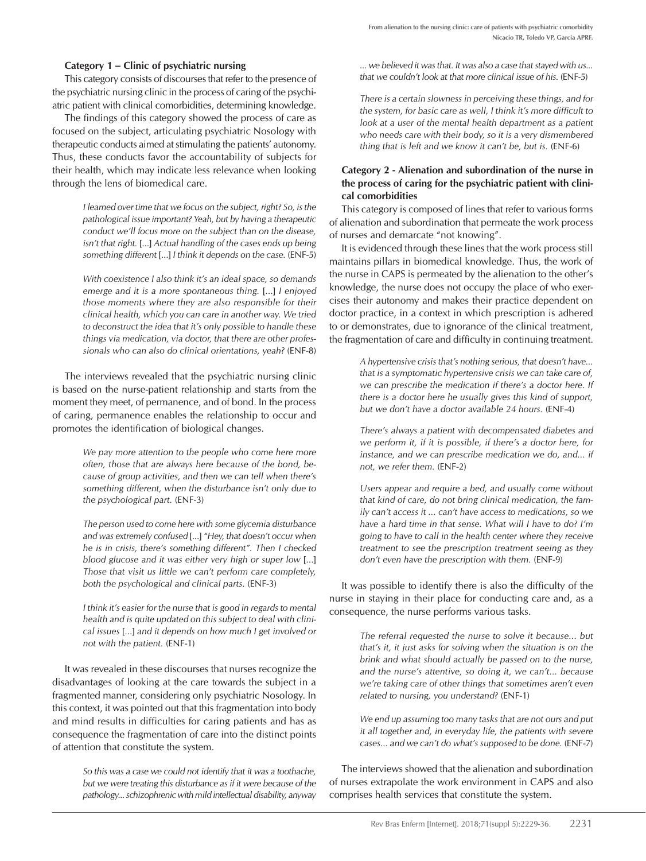#### Category 1 – Clinic of psychiatric nursing

This category consists of discourses that refer to the presence of the psychiatric nursing clinic in the process of caring of the psychiatric patient with clinical comorbidities, determining knowledge.

The findings of this category showed the process of care as focused on the subject, articulating psychiatric Nosology with therapeutic conducts aimed at stimulating the patients' autonomy. Thus, these conducts favor the accountability of subjects for their health, which may indicate less relevance when looking through the lens of biomedical care.

> *I learned over time that we focus on the subject, right? So, is the pathological issue important? Yeah, but by having a therapeutic conduct we'll focus more on the subject than on the disease, isn't that right.* [...] *Actual handling of the cases ends up being something different* [...] *I think it depends on the case.* (ENF-5)

> *With coexistence I also think it's an ideal space, so demands emerge and it is a more spontaneous thing.* [...] *I enjoyed those moments where they are also responsible for their clinical health, which you can care in another way. We tried to deconstruct the idea that it's only possible to handle these things via medication, via doctor, that there are other professionals who can also do clinical orientations, yeah?* (ENF-8)

The interviews revealed that the psychiatric nursing clinic is based on the nurse-patient relationship and starts from the moment they meet, of permanence, and of bond. In the process of caring, permanence enables the relationship to occur and promotes the identification of biological changes.

> *We pay more attention to the people who come here more often, those that are always here because of the bond, because of group activities, and then we can tell when there's something different, when the disturbance isn't only due to the psychological part.* (ENF-3)

> *The person used to come here with some glycemia disturbance and was extremely confused* [...] *"Hey, that doesn't occur when he is in crisis, there's something different". Then I checked blood glucose and it was either very high or super low* [...] *Those that visit us little we can't perform care completely, both the psychological and clinical parts.* (ENF-3)

> *I think it's easier for the nurse that is good in regards to mental health and is quite updated on this subject to deal with clinical issues* [...] *and it depends on how much I get involved or not with the patient.* (ENF-1)

It was revealed in these discourses that nurses recognize the disadvantages of looking at the care towards the subject in a fragmented manner, considering only psychiatric Nosology. In this context, it was pointed out that this fragmentation into body and mind results in difficulties for caring patients and has as consequence the fragmentation of care into the distinct points of attention that constitute the system.

> *So this was a case we could not identify that it was a toothache, but we were treating this disturbance as if it were because of the pathology... schizophrenic with mild intellectual disability, anyway*

*... we believed it was that. It was also a case that stayed with us... that we couldn't look at that more clinical issue of his.* (ENF-5)

*There is a certain slowness in perceiving these things, and for the system, for basic care as well, I think it's more difficult to look at a user of the mental health department as a patient who needs care with their body, so it is a very dismembered thing that is left and we know it can't be, but is.* (ENF-6)

# Category 2 - Alienation and subordination of the nurse in the process of caring for the psychiatric patient with clinical comorbidities

This category is composed of lines that refer to various forms of alienation and subordination that permeate the work process of nurses and demarcate "not knowing".

It is evidenced through these lines that the work process still maintains pillars in biomedical knowledge. Thus, the work of the nurse in CAPS is permeated by the alienation to the other's knowledge, the nurse does not occupy the place of who exercises their autonomy and makes their practice dependent on doctor practice, in a context in which prescription is adhered to or demonstrates, due to ignorance of the clinical treatment, the fragmentation of care and difficulty in continuing treatment.

> *A hypertensive crisis that's nothing serious, that doesn't have... that is a symptomatic hypertensive crisis we can take care of, we can prescribe the medication if there's a doctor here. If there is a doctor here he usually gives this kind of support, but we don't have a doctor available 24 hours.* (ENF-4)

> *There's always a patient with decompensated diabetes and we perform it, if it is possible, if there's a doctor here, for instance, and we can prescribe medication we do, and... if not, we refer them.* (ENF-2)

> *Users appear and require a bed, and usually come without that kind of care, do not bring clinical medication, the family can't access it ... can't have access to medications, so we have a hard time in that sense. What will I have to do? I'm going to have to call in the health center where they receive treatment to see the prescription treatment seeing as they don't even have the prescription with them.* (ENF-9)

It was possible to identify there is also the difficulty of the nurse in staying in their place for conducting care and, as a consequence, the nurse performs various tasks.

> *The referral requested the nurse to solve it because... but that's it, it just asks for solving when the situation is on the brink and what should actually be passed on to the nurse, and the nurse's attentive, so doing it, we can't... because we're taking care of other things that sometimes aren't even related to nursing, you understand?* (ENF-1)

> *We end up assuming too many tasks that are not ours and put it all together and, in everyday life, the patients with severe cases... and we can't do what's supposed to be done.* (ENF-7)

The interviews showed that the alienation and subordination of nurses extrapolate the work environment in CAPS and also comprises health services that constitute the system.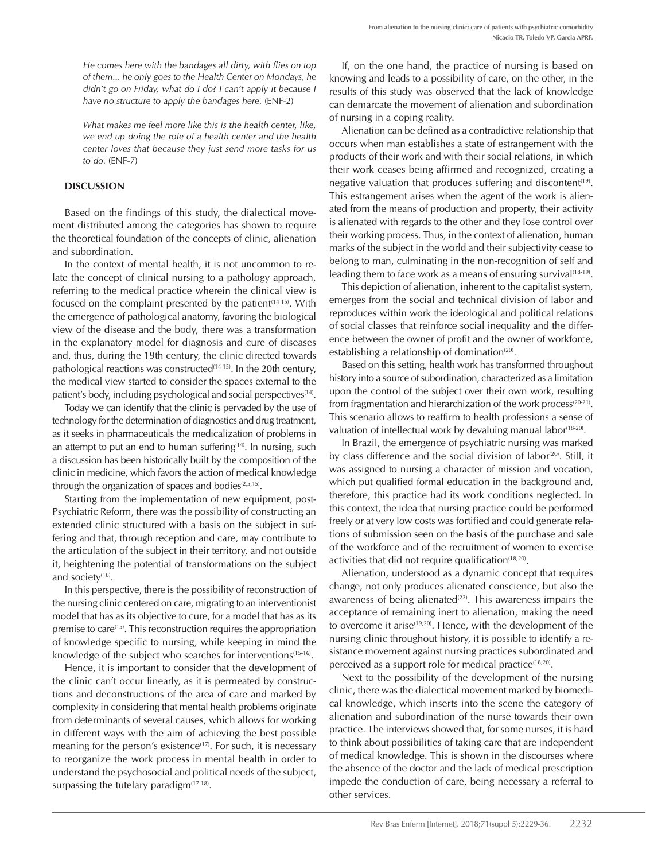*He comes here with the bandages all dirty, with flies on top of them... he only goes to the Health Center on Mondays, he didn't go on Friday, what do I do? I can't apply it because I have no structure to apply the bandages here.* (ENF-2)

*What makes me feel more like this is the health center, like, we end up doing the role of a health center and the health center loves that because they just send more tasks for us to do.* (ENF-7)

#### **DISCUSSION**

Based on the findings of this study, the dialectical movement distributed among the categories has shown to require the theoretical foundation of the concepts of clinic, alienation and subordination.

In the context of mental health, it is not uncommon to relate the concept of clinical nursing to a pathology approach, referring to the medical practice wherein the clinical view is focused on the complaint presented by the patient<sup>(14-15)</sup>. With the emergence of pathological anatomy, favoring the biological view of the disease and the body, there was a transformation in the explanatory model for diagnosis and cure of diseases and, thus, during the 19th century, the clinic directed towards pathological reactions was constructed $(14-15)$ . In the 20th century, the medical view started to consider the spaces external to the patient's body, including psychological and social perspectives<sup>(14)</sup>.

Today we can identify that the clinic is pervaded by the use of technology for the determination of diagnostics and drug treatment, as it seeks in pharmaceuticals the medicalization of problems in an attempt to put an end to human suffering $(14)$ . In nursing, such a discussion has been historically built by the composition of the clinic in medicine, which favors the action of medical knowledge through the organization of spaces and bodies $(2,5,15)$ .

Starting from the implementation of new equipment, post-Psychiatric Reform, there was the possibility of constructing an extended clinic structured with a basis on the subject in suffering and that, through reception and care, may contribute to the articulation of the subject in their territory, and not outside it, heightening the potential of transformations on the subject and society $(16)$ .

In this perspective, there is the possibility of reconstruction of the nursing clinic centered on care, migrating to an interventionist model that has as its objective to cure, for a model that has as its premise to care<sup>(15)</sup>. This reconstruction requires the appropriation of knowledge specific to nursing, while keeping in mind the knowledge of the subject who searches for interventions<sup>(15-16)</sup>.

Hence, it is important to consider that the development of the clinic can't occur linearly, as it is permeated by constructions and deconstructions of the area of care and marked by complexity in considering that mental health problems originate from determinants of several causes, which allows for working in different ways with the aim of achieving the best possible meaning for the person's existence<sup>(17)</sup>. For such, it is necessary to reorganize the work process in mental health in order to understand the psychosocial and political needs of the subject, surpassing the tutelary paradigm $(17-18)$ .

If, on the one hand, the practice of nursing is based on knowing and leads to a possibility of care, on the other, in the results of this study was observed that the lack of knowledge can demarcate the movement of alienation and subordination of nursing in a coping reality.

Alienation can be defined as a contradictive relationship that occurs when man establishes a state of estrangement with the products of their work and with their social relations, in which their work ceases being affirmed and recognized, creating a negative valuation that produces suffering and discontent<sup>(19)</sup>. This estrangement arises when the agent of the work is alienated from the means of production and property, their activity is alienated with regards to the other and they lose control over their working process. Thus, in the context of alienation, human marks of the subject in the world and their subjectivity cease to belong to man, culminating in the non-recognition of self and leading them to face work as a means of ensuring survival<sup>(18-19)</sup>.

This depiction of alienation, inherent to the capitalist system, emerges from the social and technical division of labor and reproduces within work the ideological and political relations of social classes that reinforce social inequality and the difference between the owner of profit and the owner of workforce, establishing a relationship of domination $(20)$ .

Based on this setting, health work has transformed throughout history into a source of subordination, characterized as a limitation upon the control of the subject over their own work, resulting from fragmentation and hierarchization of the work process $(20-21)$ . This scenario allows to reaffirm to health professions a sense of valuation of intellectual work by devaluing manual labor<sup>(18-20)</sup>.

In Brazil, the emergence of psychiatric nursing was marked by class difference and the social division of labor<sup>(20)</sup>. Still, it was assigned to nursing a character of mission and vocation, which put qualified formal education in the background and, therefore, this practice had its work conditions neglected. In this context, the idea that nursing practice could be performed freely or at very low costs was fortified and could generate relations of submission seen on the basis of the purchase and sale of the workforce and of the recruitment of women to exercise activities that did not require qualification<sup>(18,20)</sup>.

Alienation, understood as a dynamic concept that requires change, not only produces alienated conscience, but also the awareness of being alienated $(22)$ . This awareness impairs the acceptance of remaining inert to alienation, making the need to overcome it arise $(19,20)$ . Hence, with the development of the nursing clinic throughout history, it is possible to identify a resistance movement against nursing practices subordinated and perceived as a support role for medical practice<sup>(18,20)</sup>.

Next to the possibility of the development of the nursing clinic, there was the dialectical movement marked by biomedical knowledge, which inserts into the scene the category of alienation and subordination of the nurse towards their own practice. The interviews showed that, for some nurses, it is hard to think about possibilities of taking care that are independent of medical knowledge. This is shown in the discourses where the absence of the doctor and the lack of medical prescription impede the conduction of care, being necessary a referral to other services.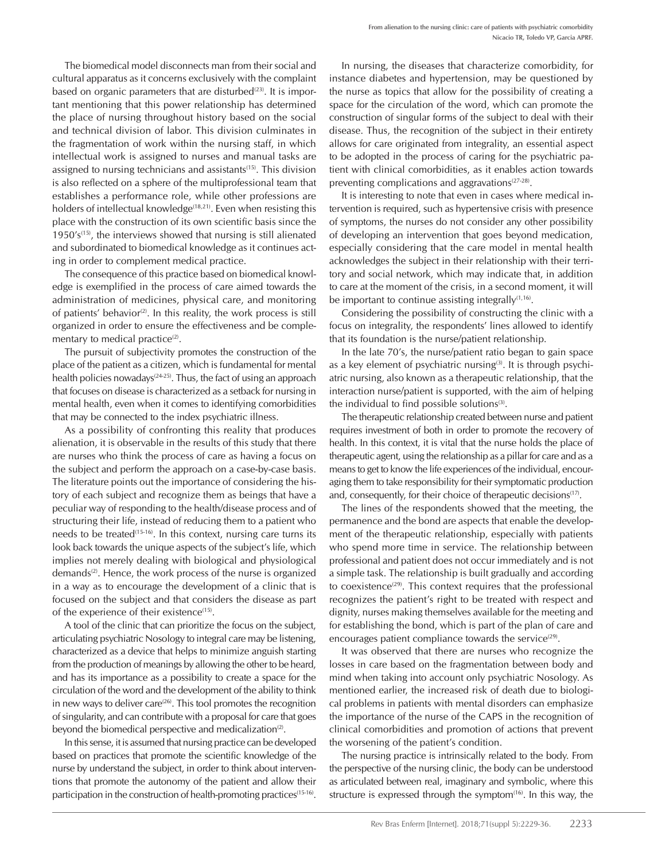The biomedical model disconnects man from their social and cultural apparatus as it concerns exclusively with the complaint based on organic parameters that are disturbed $(23)$ . It is important mentioning that this power relationship has determined the place of nursing throughout history based on the social and technical division of labor. This division culminates in the fragmentation of work within the nursing staff, in which intellectual work is assigned to nurses and manual tasks are assigned to nursing technicians and assistants<sup>(15)</sup>. This division is also reflected on a sphere of the multiprofessional team that establishes a performance role, while other professions are holders of intellectual knowledge<sup> $(18,21)$ </sup>. Even when resisting this place with the construction of its own scientific basis since the 1950's<sup> $(15)$ </sup>, the interviews showed that nursing is still alienated and subordinated to biomedical knowledge as it continues acting in order to complement medical practice.

The consequence of this practice based on biomedical knowledge is exemplified in the process of care aimed towards the administration of medicines, physical care, and monitoring of patients' behavior<sup>(2)</sup>. In this reality, the work process is still organized in order to ensure the effectiveness and be complementary to medical practice $(2)$ .

The pursuit of subjectivity promotes the construction of the place of the patient as a citizen, which is fundamental for mental health policies nowadays<sup> $(24-25)$ </sup>. Thus, the fact of using an approach that focuses on disease is characterized as a setback for nursing in mental health, even when it comes to identifying comorbidities that may be connected to the index psychiatric illness.

As a possibility of confronting this reality that produces alienation, it is observable in the results of this study that there are nurses who think the process of care as having a focus on the subject and perform the approach on a case-by-case basis. The literature points out the importance of considering the history of each subject and recognize them as beings that have a peculiar way of responding to the health/disease process and of structuring their life, instead of reducing them to a patient who needs to be treated<sup> $(15-16)$ </sup>. In this context, nursing care turns its look back towards the unique aspects of the subject's life, which implies not merely dealing with biological and physiological demands<sup>(2)</sup>. Hence, the work process of the nurse is organized in a way as to encourage the development of a clinic that is focused on the subject and that considers the disease as part of the experience of their existence<sup>(15)</sup>.

A tool of the clinic that can prioritize the focus on the subject, articulating psychiatric Nosology to integral care may be listening, characterized as a device that helps to minimize anguish starting from the production of meanings by allowing the other to be heard, and has its importance as a possibility to create a space for the circulation of the word and the development of the ability to think in new ways to deliver care $(26)$ . This tool promotes the recognition of singularity, and can contribute with a proposal for care that goes beyond the biomedical perspective and medicalization<sup>(2)</sup>.

In this sense, it is assumed that nursing practice can be developed based on practices that promote the scientific knowledge of the nurse by understand the subject, in order to think about interventions that promote the autonomy of the patient and allow their participation in the construction of health-promoting practices<sup>(15-16)</sup>.

In nursing, the diseases that characterize comorbidity, for instance diabetes and hypertension, may be questioned by the nurse as topics that allow for the possibility of creating a space for the circulation of the word, which can promote the construction of singular forms of the subject to deal with their disease. Thus, the recognition of the subject in their entirety allows for care originated from integrality, an essential aspect to be adopted in the process of caring for the psychiatric patient with clinical comorbidities, as it enables action towards preventing complications and aggravations<sup>(27-28)</sup>.

It is interesting to note that even in cases where medical intervention is required, such as hypertensive crisis with presence of symptoms, the nurses do not consider any other possibility of developing an intervention that goes beyond medication, especially considering that the care model in mental health acknowledges the subject in their relationship with their territory and social network, which may indicate that, in addition to care at the moment of the crisis, in a second moment, it will be important to continue assisting integrally<sup>(1,16)</sup>.

Considering the possibility of constructing the clinic with a focus on integrality, the respondents' lines allowed to identify that its foundation is the nurse/patient relationship.

In the late 70's, the nurse/patient ratio began to gain space as a key element of psychiatric nursing<sup>(3)</sup>. It is through psychiatric nursing, also known as a therapeutic relationship, that the interaction nurse/patient is supported, with the aim of helping the individual to find possible solutions $(3)$ .

The therapeutic relationship created between nurse and patient requires investment of both in order to promote the recovery of health. In this context, it is vital that the nurse holds the place of therapeutic agent, using the relationship as a pillar for care and as a means to get to know the life experiences of the individual, encouraging them to take responsibility for their symptomatic production and, consequently, for their choice of therapeutic decisions<sup>(17)</sup>.

The lines of the respondents showed that the meeting, the permanence and the bond are aspects that enable the development of the therapeutic relationship, especially with patients who spend more time in service. The relationship between professional and patient does not occur immediately and is not a simple task. The relationship is built gradually and according to coexistence<sup> $(29)$ </sup>. This context requires that the professional recognizes the patient's right to be treated with respect and dignity, nurses making themselves available for the meeting and for establishing the bond, which is part of the plan of care and encourages patient compliance towards the service<sup> $(29)$ </sup>.

It was observed that there are nurses who recognize the losses in care based on the fragmentation between body and mind when taking into account only psychiatric Nosology. As mentioned earlier, the increased risk of death due to biological problems in patients with mental disorders can emphasize the importance of the nurse of the CAPS in the recognition of clinical comorbidities and promotion of actions that prevent the worsening of the patient's condition.

The nursing practice is intrinsically related to the body. From the perspective of the nursing clinic, the body can be understood as articulated between real, imaginary and symbolic, where this structure is expressed through the symptom<sup>(16)</sup>. In this way, the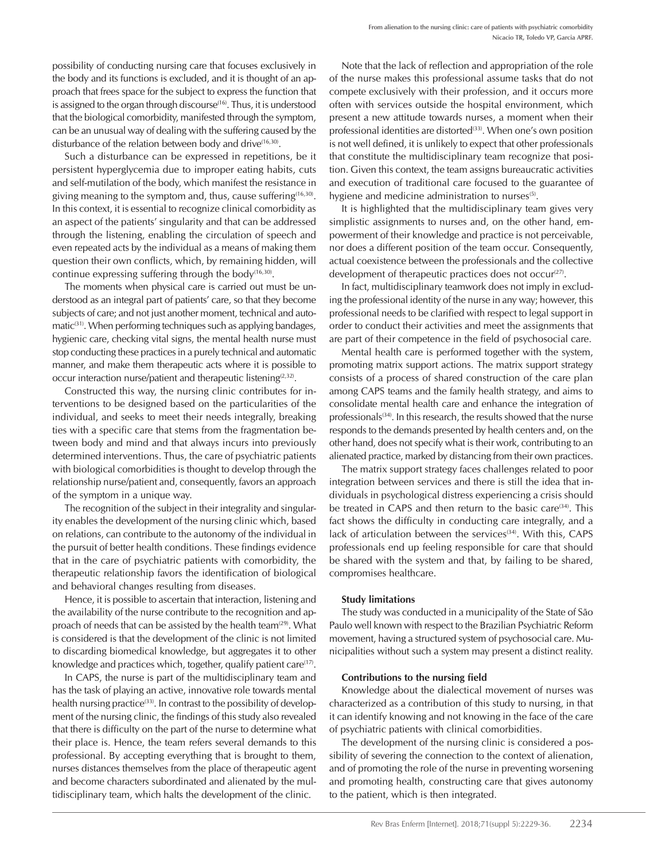possibility of conducting nursing care that focuses exclusively in the body and its functions is excluded, and it is thought of an approach that frees space for the subject to express the function that is assigned to the organ through discourse<sup>(16)</sup>. Thus, it is understood that the biological comorbidity, manifested through the symptom, can be an unusual way of dealing with the suffering caused by the disturbance of the relation between body and drive<sup>(16,30)</sup>.

Such a disturbance can be expressed in repetitions, be it persistent hyperglycemia due to improper eating habits, cuts and self-mutilation of the body, which manifest the resistance in giving meaning to the symptom and, thus, cause suffering $(16,30)$ . In this context, it is essential to recognize clinical comorbidity as an aspect of the patients' singularity and that can be addressed through the listening, enabling the circulation of speech and even repeated acts by the individual as a means of making them question their own conflicts, which, by remaining hidden, will continue expressing suffering through the body<sup>(16,30)</sup>.

The moments when physical care is carried out must be understood as an integral part of patients' care, so that they become subjects of care; and not just another moment, technical and automatic $(31)$ . When performing techniques such as applying bandages, hygienic care, checking vital signs, the mental health nurse must stop conducting these practices in a purely technical and automatic manner, and make them therapeutic acts where it is possible to occur interaction nurse/patient and therapeutic listening<sup>(2,32)</sup>.

Constructed this way, the nursing clinic contributes for interventions to be designed based on the particularities of the individual, and seeks to meet their needs integrally, breaking ties with a specific care that stems from the fragmentation between body and mind and that always incurs into previously determined interventions. Thus, the care of psychiatric patients with biological comorbidities is thought to develop through the relationship nurse/patient and, consequently, favors an approach of the symptom in a unique way.

The recognition of the subject in their integrality and singularity enables the development of the nursing clinic which, based on relations, can contribute to the autonomy of the individual in the pursuit of better health conditions. These findings evidence that in the care of psychiatric patients with comorbidity, the therapeutic relationship favors the identification of biological and behavioral changes resulting from diseases.

Hence, it is possible to ascertain that interaction, listening and the availability of the nurse contribute to the recognition and approach of needs that can be assisted by the health team $(29)$ . What is considered is that the development of the clinic is not limited to discarding biomedical knowledge, but aggregates it to other knowledge and practices which, together, qualify patient care<sup>(17)</sup>.

In CAPS, the nurse is part of the multidisciplinary team and has the task of playing an active, innovative role towards mental health nursing practice<sup>(33)</sup>. In contrast to the possibility of development of the nursing clinic, the findings of this study also revealed that there is difficulty on the part of the nurse to determine what their place is. Hence, the team refers several demands to this professional. By accepting everything that is brought to them, nurses distances themselves from the place of therapeutic agent and become characters subordinated and alienated by the multidisciplinary team, which halts the development of the clinic.

Note that the lack of reflection and appropriation of the role of the nurse makes this professional assume tasks that do not compete exclusively with their profession, and it occurs more often with services outside the hospital environment, which present a new attitude towards nurses, a moment when their professional identities are distorted<sup>(33)</sup>. When one's own position is not well defined, it is unlikely to expect that other professionals that constitute the multidisciplinary team recognize that position. Given this context, the team assigns bureaucratic activities and execution of traditional care focused to the guarantee of hygiene and medicine administration to nurses $(5)$ .

It is highlighted that the multidisciplinary team gives very simplistic assignments to nurses and, on the other hand, empowerment of their knowledge and practice is not perceivable, nor does a different position of the team occur. Consequently, actual coexistence between the professionals and the collective development of therapeutic practices does not occur<sup>(27)</sup>.

In fact, multidisciplinary teamwork does not imply in excluding the professional identity of the nurse in any way; however, this professional needs to be clarified with respect to legal support in order to conduct their activities and meet the assignments that are part of their competence in the field of psychosocial care.

Mental health care is performed together with the system, promoting matrix support actions. The matrix support strategy consists of a process of shared construction of the care plan among CAPS teams and the family health strategy, and aims to consolidate mental health care and enhance the integration of professionals<sup>(34)</sup>. In this research, the results showed that the nurse responds to the demands presented by health centers and, on the other hand, does not specify what is their work, contributing to an alienated practice, marked by distancing from their own practices.

The matrix support strategy faces challenges related to poor integration between services and there is still the idea that individuals in psychological distress experiencing a crisis should be treated in CAPS and then return to the basic care<sup>(34)</sup>. This fact shows the difficulty in conducting care integrally, and a lack of articulation between the services<sup>(34)</sup>. With this, CAPS professionals end up feeling responsible for care that should be shared with the system and that, by failing to be shared, compromises healthcare.

#### Study limitations

The study was conducted in a municipality of the State of São Paulo well known with respect to the Brazilian Psychiatric Reform movement, having a structured system of psychosocial care. Municipalities without such a system may present a distinct reality.

#### Contributions to the nursing field

Knowledge about the dialectical movement of nurses was characterized as a contribution of this study to nursing, in that it can identify knowing and not knowing in the face of the care of psychiatric patients with clinical comorbidities.

The development of the nursing clinic is considered a possibility of severing the connection to the context of alienation, and of promoting the role of the nurse in preventing worsening and promoting health, constructing care that gives autonomy to the patient, which is then integrated.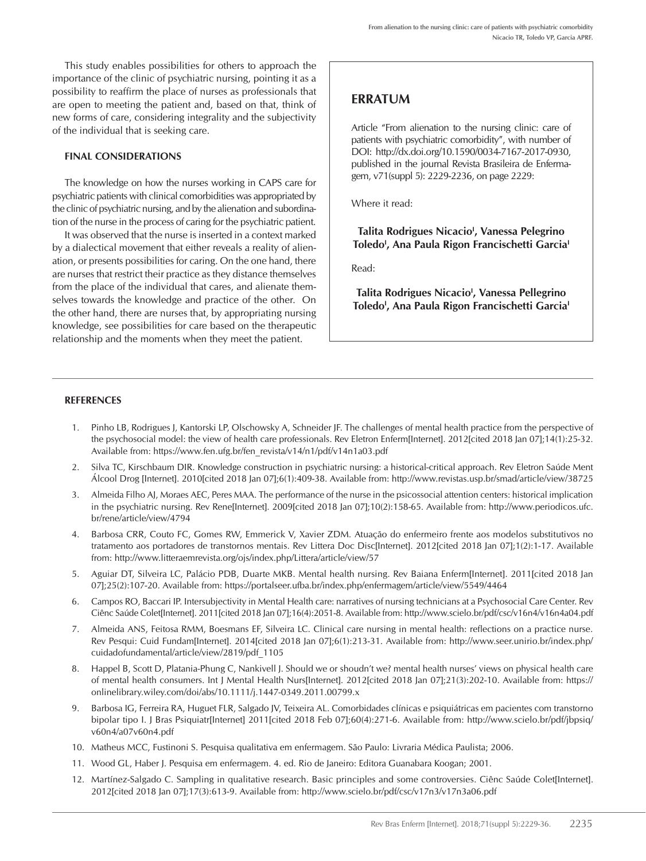This study enables possibilities for others to approach the importance of the clinic of psychiatric nursing, pointing it as a possibility to reaffirm the place of nurses as professionals that are open to meeting the patient and, based on that, think of new forms of care, considering integrality and the subjectivity of the individual that is seeking care.

#### FINAL CONSIDERATIONS

The knowledge on how the nurses working in CAPS care for psychiatric patients with clinical comorbidities was appropriated by the clinic of psychiatric nursing, and by the alienation and subordination of the nurse in the process of caring for the psychiatric patient.

It was observed that the nurse is inserted in a context marked by a dialectical movement that either reveals a reality of alienation, or presents possibilities for caring. On the one hand, there are nurses that restrict their practice as they distance themselves from the place of the individual that cares, and alienate themselves towards the knowledge and practice of the other. On the other hand, there are nurses that, by appropriating nursing knowledge, see possibilities for care based on the therapeutic relationship and the moments when they meet the patient.

# ERRATUM

Article "From alienation to the nursing clinic: care of patients with psychiatric comorbidity", with number of DOI: http://dx.doi.org/10.1590/0034-7167-2017-0930, published in the journal Revista Brasileira de Enfermagem, v71(suppl 5): 2229-2236, on page 2229:

Where it read:

# Talita Rodrigues Nicacio<sup>!</sup>, Vanessa Pelegrino Toledo<sup>i</sup>, Ana Paula Rigon Francischetti Garcia<sup>i</sup>

Read:

Talita Rodrigues Nicacio<sup>,</sup> Vanessa Pellegrino Toledo<sup>i</sup>, Ana Paula Rigon Francischetti Garcia<sup>i</sup>

#### **REFERENCES**

- 1. Pinho LB, Rodrigues J, Kantorski LP, Olschowsky A, Schneider JF. The challenges of mental health practice from the perspective of the psychosocial model: the view of health care professionals. Rev Eletron Enferm[Internet]. 2012[cited 2018 Jan 07];14(1):25-32. Available from: https://www.fen.ufg.br/fen\_revista/v14/n1/pdf/v14n1a03.pdf
- 2. Silva TC, Kirschbaum DIR. Knowledge construction in psychiatric nursing: a historical-critical approach. Rev Eletron Saúde Ment Álcool Drog [Internet]. 2010[cited 2018 Jan 07];6(1):409-38. Available from: http://www.revistas.usp.br/smad/article/view/38725
- 3. Almeida Filho AJ, Moraes AEC, Peres MAA. The performance of the nurse in the psicossocial attention centers: historical implication in the psychiatric nursing. Rev Rene[Internet]. 2009[cited 2018 Jan 07];10(2):158-65. Available from: http://www.periodicos.ufc. br/rene/article/view/4794
- 4. Barbosa CRR, Couto FC, Gomes RW, Emmerick V, Xavier ZDM. Atuação do enfermeiro frente aos modelos substitutivos no tratamento aos portadores de transtornos mentais. Rev Littera Doc Disc[Internet]. 2012[cited 2018 Jan 07];1(2):1-17. Available from: http://www.litteraemrevista.org/ojs/index.php/Littera/article/view/57
- 5. Aguiar DT, Silveira LC, Palácio PDB, Duarte MKB. Mental health nursing. Rev Baiana Enferm[Internet]. 2011[cited 2018 Jan 07];25(2):107-20. Available from: https://portalseer.ufba.br/index.php/enfermagem/article/view/5549/4464
- 6. Campos RO, Baccari IP. Intersubjectivity in Mental Health care: narratives of nursing technicians at a Psychosocial Care Center. Rev Ciênc Saúde Colet[Internet]. 2011[cited 2018 Jan 07];16(4):2051-8. Available from: http://www.scielo.br/pdf/csc/v16n4/v16n4a04.pdf
- 7. Almeida ANS, Feitosa RMM, Boesmans EF, Silveira LC. Clinical care nursing in mental health: reflections on a practice nurse. Rev Pesqui: Cuid Fundam[Internet]. 2014[cited 2018 Jan 07];6(1):213-31. Available from: http://www.seer.unirio.br/index.php/ cuidadofundamental/article/view/2819/pdf\_1105
- 8. Happel B, Scott D, Platania-Phung C, Nankivell J. Should we or shoudn't we? mental health nurses' views on physical health care of mental health consumers. Int J Mental Health Nurs[Internet]. 2012[cited 2018 Jan 07];21(3):202-10. Available from: https:// onlinelibrary.wiley.com/doi/abs/10.1111/j.1447-0349.2011.00799.x
- 9. Barbosa IG, Ferreira RA, Huguet FLR, Salgado JV, Teixeira AL. Comorbidades clínicas e psiquiátricas em pacientes com transtorno bipolar tipo I. J Bras Psiquiatr[Internet] 2011[cited 2018 Feb 07];60(4):271-6. Available from: http://www.scielo.br/pdf/jbpsiq/ v60n4/a07v60n4.pdf
- 10. Matheus MCC, Fustinoni S. Pesquisa qualitativa em enfermagem. São Paulo: Livraria Médica Paulista; 2006.
- 11. Wood GL, Haber J. Pesquisa em enfermagem. 4. ed. Rio de Janeiro: Editora Guanabara Koogan; 2001.
- 12. Martínez-Salgado C. Sampling in qualitative research. Basic principles and some controversies. Ciênc Saúde Colet[Internet]. 2012[cited 2018 Jan 07];17(3):613-9. Available from: http://www.scielo.br/pdf/csc/v17n3/v17n3a06.pdf